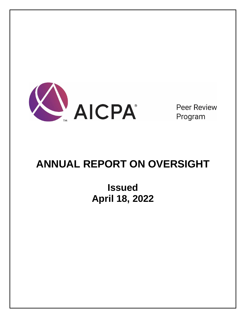

**Peer Review** Program

# **ANNUAL REPORT ON OVERSIGHT**

**Issued April 18, 2022**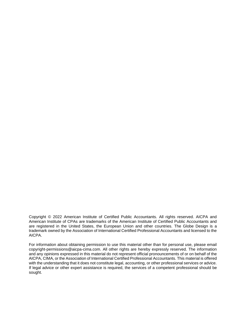Copyright © 2022 American Institute of Certified Public Accountants. All rights reserved. AICPA and American Institute of CPAs are trademarks of the American Institute of Certified Public Accountants and are registered in the United States, the European Union and other countries. The Globe Design is a trademark owned by the Association of International Certified Professional Accountants and licensed to the AICPA.

For information about obtaining permission to use this material other than for personal use, please email copyright-permissions@aicpa-cima.com. All other rights are hereby expressly reserved. The information and any opinions expressed in this material do not represent official pronouncements of or on behalf of the AICPA, CIMA, or the Association of International Certified Professional Accountants. This material is offered with the understanding that it does not constitute legal, accounting, or other professional services or advice. If legal advice or other expert assistance is required, the services of a competent professional should be sought.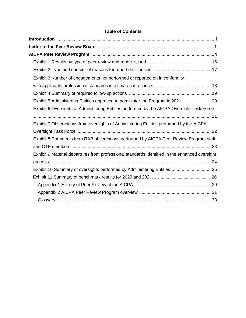# **Table of Contents**

| Exhibit 3 Number of engagements not performed or reported on in conformity                     |
|------------------------------------------------------------------------------------------------|
|                                                                                                |
|                                                                                                |
| Exhibit 5 Administering Entities approved to administer the Program in 2021 20                 |
| Exhibit 6 Oversights of Administering Entities performed by the AICPA Oversight Task Force     |
|                                                                                                |
| Exhibit 7 Observations from oversights of Administering Entities performed by the AICPA        |
|                                                                                                |
| Exhibit 8 Comments from RAB observations performed by AICPA Peer Review Program staff          |
|                                                                                                |
| Exhibit 9 Material departures from professional standards identified in the enhanced oversight |
|                                                                                                |
| Exhibit 10 Summary of oversights performed by Administering Entities25                         |
|                                                                                                |
|                                                                                                |
|                                                                                                |
|                                                                                                |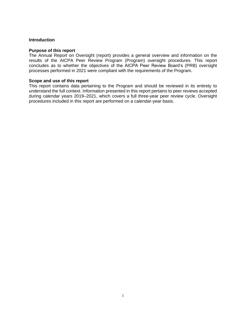## <span id="page-3-0"></span>**Introduction**

#### **Purpose of this report**

The Annual Report on Oversight (report) provides a general overview and information on the results of the AICPA Peer Review Program (Program) oversight procedures. This report concludes as to whether the objectives of the AICPA Peer Review Board's (PRB) oversight processes performed in 2021 were compliant with the requirements of the Program.

#### **Scope and use of this report**

This report contains data pertaining to the Program and should be reviewed in its entirety to understand the full context. Information presented in this report pertains to peer reviews accepted during calendar years 2019–2021, which covers a full three-year peer review cycle. Oversight procedures included in this report are performed on a calendar-year basis.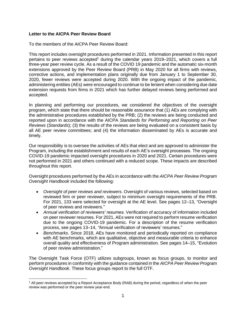# <span id="page-4-0"></span>**Letter to the AICPA Peer Review Board**

To the members of the AICPA Peer Review Board:

This report includes oversight procedures performed in 2021. Information presented in this report pertains to peer reviews accepted<sup>1</sup> during the calendar years 2019–2021, which covers a full three-year peer review cycle. As a result of the COVID 19 pandemic and the automatic six-month extensions approved by the Peer Review Board (PRB) in May 2020 for all firms with reviews, corrective actions, and implementation plans originally due from January 1 to September 30, 2020, fewer reviews were accepted during 2020. With the ongoing impact of the pandemic, administering entities (AEs) were encouraged to continue to be lenient when considering due date extension requests from firms in 2021 which has further delayed reviews being performed and accepted.

In planning and performing our procedures, we considered the objectives of the oversight program, which state that there should be reasonable assurance that (1) AEs are complying with the administrative procedures established by the PRB; (2) the reviews are being conducted and reported upon in accordance with the AICPA *Standards for Performing and Reporting on Peer Reviews* (*Standards*); (3) the results of the reviews are being evaluated on a consistent basis by all AE peer review committees; and (4) the information disseminated by AEs is accurate and timely.

Our responsibility is to oversee the activities of AEs that elect and are approved to administer the Program, including the establishment and results of each AE's oversight processes. The ongoing COVID-19 pandemic impacted oversight procedures in 2020 and 2021. Certain procedures were not performed in 2021 and others continued with a reduced scope. These impacts are described throughout this report.

Oversight procedures performed by the AEs in accordance with the *AICPA Peer Review Program Oversight Handbook* included the following:

- *Oversight of peer reviews and reviewers*. Oversight of various reviews, selected based on reviewed firm or peer reviewer, subject to minimum oversight requirements of the PRB. For 2021, 133 were selected for oversight at the AE level. See pages 12–13, "Oversight of peer reviews and reviewers."
- *Annual verification of reviewers' resumes*. Verification of accuracy of information included on peer reviewer resumes. For 2021, AEs were not required to perform resume verification due to the ongoing COVID-19 pandemic. For a description of the resume verification process, see pages 13–14, *"*Annual verification of reviewers' resumes."
- *Benchmarks*. Since 2018, AEs have monitored and periodically reported on compliance with AE benchmarks, which are qualitative, objective and measurable criteria to enhance overall quality and effectiveness of Program administration. See pages 14–15, "Evolution of peer review administration."

The Oversight Task Force (OTF) utilizes subgroups, known as focus groups, to monitor and perform procedures in conformity with the guidance contained in the *AICPA Peer Review Program Oversight Handbook*. These focus groups report to the full OTF.

<sup>1</sup> All peer reviews accepted by a Report Acceptance Body (RAB) during the period, regardless of when the peer review was performed or the peer review year-end.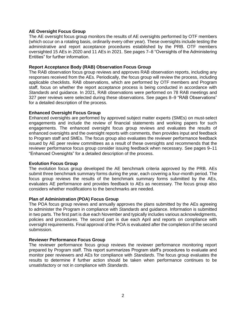# **AE Oversight Focus Group**

The AE oversight focus group monitors the results of AE oversights performed by OTF members (which occur on a rotating basis, ordinarily every other year). These oversights include testing the administrative and report acceptance procedures established by the PRB. OTF members oversighted 15 AEs in 2020 and 11 AEs in 2021. See pages 7–8 "Oversights of the Administering Entities" for further information.

#### **Report Acceptance Body (RAB) Observation Focus Group**

The RAB observation focus group reviews and approves RAB observation reports, including any responses received from the AEs. Periodically, the focus group will review the process, including applicable checklists. RAB observations, which are performed by OTF members and Program staff, focus on whether the report acceptance process is being conducted in accordance with *Standards* and guidance. In 2021, RAB observations were performed on 78 RAB meetings and 327 peer reviews were selected during these observations. See pages 8–9 "RAB Observations" for a detailed description of the process.

#### **Enhanced Oversight Focus Group**

Enhanced oversights are performed by approved subject matter experts (SMEs) on must-select engagements and include the review of financial statements and working papers for such engagements. The enhanced oversight focus group reviews and evaluates the results of enhanced oversights and the oversight reports with comments, then provides input and feedback to Program staff and SMEs. The focus group also evaluates the reviewer performance feedback issued by AE peer review committees as a result of these oversights and recommends that the reviewer performance focus group consider issuing feedback when necessary. See pages 9–11 "Enhanced Oversights" for a detailed description of the process.

#### **Evolution Focus Group**

The evolution focus group developed the AE benchmark criteria approved by the PRB. AEs submit three benchmark summary forms during the year, each covering a four-month period. The focus group reviews the results of the benchmark summary forms submitted by the AEs, evaluates AE performance and provides feedback to AEs as necessary. The focus group also considers whether modifications to the benchmarks are needed.

# **Plan of Administration (POA) Focus Group**

The POA focus group reviews and annually approves the plans submitted by the AEs agreeing to administer the Program in compliance with *Standards* and guidance. Information is submitted in two parts. The first part is due each November and typically includes various acknowledgments, policies and procedures. The second part is due each April and reports on compliance with oversight requirements. Final approval of the POA is evaluated after the completion of the second submission.

#### **Reviewer Performance Focus Group**

The reviewer performance focus group reviews the reviewer performance monitoring report prepared by Program staff. This report summarizes Program staff's procedures to evaluate and monitor peer reviewers and AEs for compliance with *Standards*. The focus group evaluates the results to determine if further action should be taken when performance continues to be unsatisfactory or not in compliance with *Standards*.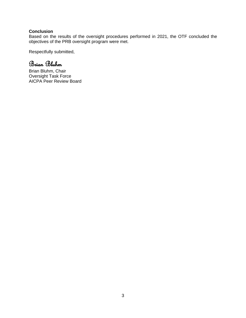# **Conclusion**

Based on the results of the oversight procedures performed in 2021, the OTF concluded the objectives of the PRB oversight program were met.

Respectfully submitted,

Brian Bluhm

Brian Bluhm, Chair Oversight Task Force AICPA Peer Review Board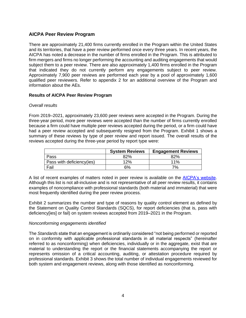# <span id="page-7-0"></span>**AICPA Peer Review Program**

There are approximately 21,400 firms currently enrolled in the Program within the United States and its territories, that have a peer review performed once every three years. In recent years, the AICPA has noted a decrease in the number of firms enrolled in the Program. This is attributed to firm mergers and firms no longer performing the accounting and auditing engagements that would subject them to a peer review. There are also approximately 1,400 firms enrolled in the Program that indicated they do not currently perform any engagements subject to peer review. Approximately 7,900 peer reviews are performed each year by a pool of approximately 1,600 qualified peer reviewers. Refer to appendix 2 for an additional overview of the Program and information about the AEs.

# **Results of AICPA Peer Review Program**

#### *Overall results*

From 2019–2021, approximately 23,600 peer reviews were accepted in the Program. During the three-year period, more peer reviews were accepted than the number of firms currently enrolled because a firm could have multiple peer reviews accepted during the period, or a firm could have had a peer review accepted and subsequently resigned from the Program. Exhibit 1 shows a summary of these reviews by type of peer review and report issued. The overall results of the reviews accepted during the three-year period by report type were:

|                           | <b>System Reviews</b> | <b>Engagement Reviews</b> |
|---------------------------|-----------------------|---------------------------|
| Pass                      | 82%                   | 82%                       |
| Pass with deficiency(ies) | 12%                   | 11%                       |
| Fail                      | 6%                    | 7%                        |

A list of recent examples of matters noted in peer review is available on the [AICPA's website.](https://us.aicpa.org/interestareas/peerreview/community/peerreviewers/examplesofmattersinpeerreviews.html) Although this list is not all-inclusive and is not representative of all peer review results, it contains examples of noncompliance with professional standards (both material and immaterial) that were most frequently identified during the peer review process.

Exhibit 2 summarizes the number and type of reasons by quality control element as defined by the Statement on Quality Control Standards (SQCS), for report deficiencies (that is, pass with deficiency[ies] or fail) on system reviews accepted from 2019–2021 in the Program.

#### *Nonconforming engagements identified*

The *Standards* state that an engagement is ordinarily considered "not being performed or reported on in conformity with applicable professional standards in all material respects" (hereinafter referred to as nonconforming) when deficiencies, individually or in the aggregate, exist that are material to understanding the report or the financial statements accompanying the report or represents omission of a critical accounting, auditing, or attestation procedure required by professional standards. Exhibit 3 shows the total number of individual engagements reviewed for both system and engagement reviews, along with those identified as nonconforming.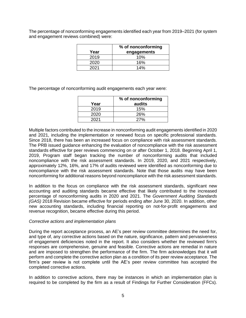The percentage of nonconforming engagements identified each year from 2019–2021 (for system and engagement reviews combined) were:

|      | % of nonconforming |
|------|--------------------|
| Year | engagements        |
| 2019 | 10%                |
| 2020 | 16%                |
| 2021 | 14%                |

The percentage of nonconforming audit engagements each year were:

| Year | % of nonconforming<br>audits |
|------|------------------------------|
| 2019 | 15%                          |
| 2020 | <b>26%</b>                   |
| 2021 | 27%                          |

Multiple factors contributed to the increase in nonconforming audit engagements identified in 2020 and 2021, including the implementation or renewed focus on specific professional standards. Since 2018, there has been an increased focus on compliance with risk assessment standards. The PRB issued guidance enhancing the evaluation of noncompliance with the risk assessment standards effective for peer reviews commencing on or after October 1, 2018. Beginning April 1, 2019, Program staff began tracking the number of nonconforming audits that included noncompliance with the risk assessment standards. In 2019, 2020, and 2021 respectively, approximately 12%, 16%, and 17% of audits reviewed were identified as nonconforming due to noncompliance with the risk assessment standards. Note that those audits may have been nonconforming for additional reasons beyond noncompliance with the risk assessment standards.

In addition to the focus on compliance with the risk assessment standards, significant new accounting and auditing standards became effective that likely contributed to the increased percentage of nonconforming audits in 2020 and 2021. The *Government Auditing Standards (GAS)* 2018 Revision became effective for periods ending after June 30, 2020. In addition, other new accounting standards, including financial reporting on not-for-profit engagements and revenue recognition, became effective during this period.

#### *Corrective actions and implementation plans*

During the report acceptance process, an AE's peer review committee determines the need for, and type of, any corrective actions based on the nature, significance, pattern and pervasiveness of engagement deficiencies noted in the report. It also considers whether the reviewed firm's responses are comprehensive, genuine and feasible. Corrective actions are remedial in nature and are imposed to strengthen the performance of the firm. The firm acknowledges that it will perform and complete the corrective action plan as a condition of its peer review acceptance. The firm's peer review is not complete until the AE's peer review committee has accepted the completed corrective actions.

In addition to corrective actions, there may be instances in which an implementation plan is required to be completed by the firm as a result of Findings for Further Consideration (FFCs).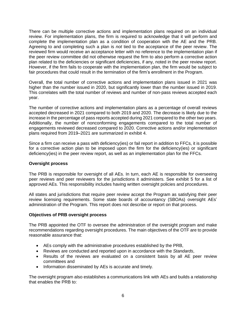There can be multiple corrective actions and implementation plans required on an individual review. For implementation plans, the firm is required to acknowledge that it will perform and complete the implementation plan as a condition of cooperation with the AE and the PRB. Agreeing to and completing such a plan is *not* tied to the acceptance of the peer review. The reviewed firm would receive an acceptance letter with no reference to the implementation plan if the peer review committee did not otherwise request the firm to also perform a corrective action plan related to the deficiencies or significant deficiencies, if any, noted in the peer review report. However, if the firm fails to cooperate with the implementation plan, the firm would be subject to fair procedures that could result in the termination of the firm's enrollment in the Program.

Overall, the total number of corrective actions and implementation plans issued in 2021 was higher than the number issued in 2020, but significantly lower than the number issued in 2019. This correlates with the total number of reviews and number of non-pass reviews accepted each year.

The number of corrective actions and implementation plans as a percentage of overall reviews accepted decreased in 2021 compared to both 2019 and 2020. The decrease is likely due to the increase in the percentage of pass reports accepted during 2021 compared to the other two years. Additionally, the number of nonconforming engagements compared to the total number of engagements reviewed decreased compared to 2020. Corrective actions and/or implementation plans required from 2019–2021 are summarized in exhibit 4.

Since a firm can receive a pass with deficiency(ies) or fail report in addition to FFCs, it is possible for a corrective action plan to be imposed upon the firm for the deficiency(ies) or significant deficiency(ies) in the peer review report, as well as an implementation plan for the FFCs.

# **Oversight process**

The PRB is responsible for oversight of all AEs. In turn, each AE is responsible for overseeing peer reviews and peer reviewers for the jurisdictions it administers. See exhibit 5 for a list of approved AEs. This responsibility includes having written oversight policies and procedures.

All states and jurisdictions that require peer review accept the Program as satisfying their peer review licensing requirements. Some state boards of accountancy (SBOAs) oversight AEs' administration of the Program. This report does not describe or report on that process.

#### **Objectives of PRB oversight process**

The PRB appointed the OTF to oversee the administration of the oversight program and make recommendations regarding oversight procedures. The main objectives of the OTF are to provide reasonable assurance that:

- AEs comply with the administrative procedures established by the PRB,
- Reviews are conducted and reported upon in accordance with the *Standards*,
- Results of the reviews are evaluated on a consistent basis by all AE peer review committees and
- Information disseminated by AEs is accurate and timely.

The oversight program also establishes a communications link with AEs and builds a relationship that enables the PRB to: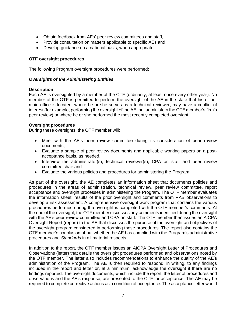- Obtain feedback from AEs' peer review committees and staff,
- Provide consultation on matters applicable to specific AEs and
- Develop guidance on a national basis, when appropriate.

# **OTF oversight procedures**

The following Program oversight procedures were performed:

# *Oversights of the Administering Entities*

# **Description**

Each AE is oversighted by a member of the OTF (ordinarily, at least once every other year). No member of the OTF is permitted to perform the oversight of the AE in the state that his or her main office is located, where he or she serves as a technical reviewer, may have a conflict of interest (for example, performing the oversight of the AE that administers the OTF member's firm's peer review) or where he or she performed the most recently completed oversight.

# **Oversight procedures**

During these oversights, the OTF member will:

- Meet with the AE's peer review committee during its consideration of peer review documents,
- Evaluate a sample of peer review documents and applicable working papers on a postacceptance basis, as needed,
- Interview the administrator(s), technical reviewer(s), CPA on staff and peer review committee chair and
- Evaluate the various policies and procedures for administering the Program.

As part of the oversight, the AE completes an information sheet that documents policies and procedures in the areas of administration, technical review, peer review committee, report acceptance and oversight processes in administering the Program. The OTF member evaluates the information sheet, results of the prior oversight and comments from RAB observations to develop a risk assessment. A comprehensive oversight work program that contains the various procedures performed during the oversight is completed with the OTF member's comments. At the end of the oversight, the OTF member discusses any comments identified during the oversight with the AE's peer review committee and CPA on staff. The OTF member then issues an AICPA Oversight Report (report) to the AE that discusses the purpose of the oversight and objectives of the oversight program considered in performing those procedures. The report also contains the OTF member's conclusion about whether the AE has complied with the Program's administrative procedures and *Standards* in all material respects.

In addition to the report, the OTF member issues an AICPA Oversight Letter of Procedures and Observations (letter) that details the oversight procedures performed and observations noted by the OTF member. The letter also includes recommendations to enhance the quality of the AE's administration of the Program. The AE is then required to respond, in writing, to any findings included in the report and letter or, at a minimum, acknowledge the oversight if there are no findings reported. The oversight documents, which include the report, the letter of procedures and observations and the AE's response, are presented to the OTF for acceptance. The AE may be required to complete corrective actions as a condition of acceptance. The acceptance letter would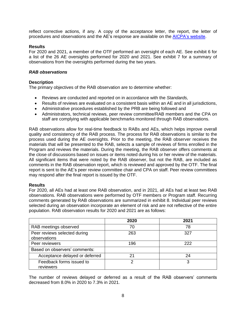reflect corrective actions, if any. A copy of the acceptance letter, the report, the letter of procedures and observations and the AE's response are available on the [AICPA's website.](https://us.aicpa.org/interestareas/peerreview/resources/transparency/oversight/oversightvisitresults.html)

## **Results**

For 2020 and 2021, a member of the OTF performed an oversight of each AE. See exhibit 6 for a list of the 26 AE oversights performed for 2020 and 2021. See exhibit 7 for a summary of observations from the oversights performed during the two years.

## *RAB observations*

# **Description**

The primary objectives of the RAB observation are to determine whether:

- Reviews are conducted and reported on in accordance with the *Standards,*
- Results of reviews are evaluated on a consistent basis within an AE and in all jurisdictions,
- Administrative procedures established by the PRB are being followed and
- Administrators, technical reviews, peer review committee/RAB members and the CPA on staff are complying with applicable benchmarks monitored through RAB observations.

RAB observations allow for real-time feedback to RABs and AEs, which helps improve overall quality and consistency of the RAB process. The process for RAB observations is similar to the process used during the AE oversights. Prior to the meeting, the RAB observer receives the materials that will be presented to the RAB, selects a sample of reviews of firms enrolled in the Program and reviews the materials. During the meeting, the RAB observer offers comments at the close of discussions based on issues or items noted during his or her review of the materials. All significant items that were noted by the RAB observer, but not the RAB, are included as comments in the RAB observation report, which is reviewed and approved by the OTF. The final report is sent to the AE's peer review committee chair and CPA on staff. Peer review committees may respond after the final report is issued by the OTF.

#### **Results**

For 2020, all AEs had at least one RAB observation, and in 2021, all AEs had at least two RAB observations. RAB observations were performed by OTF members or Program staff. Recurring comments generated by RAB observations are summarized in exhibit 8. Individual peer reviews selected during an observation incorporate an element of risk and are not reflective of the entire population. RAB observation results for 2020 and 2021 are as follows:

|                                              | 2020 | 2021 |
|----------------------------------------------|------|------|
| RAB meetings observed                        | 70   | 78   |
| Peer reviews selected during<br>observations | 263  | 327  |
| Peer reviewers                               | 196  | 222  |
| Based on observers' comments:                |      |      |
| Acceptance delayed or deferred               | 21   | 24   |
| Feedback forms issued to<br>reviewers        |      | っ    |

The number of reviews delayed or deferred as a result of the RAB observers' comments decreased from 8.0% in 2020 to 7.3% in 2021.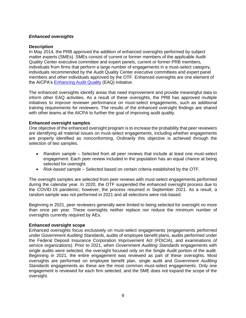# *Enhanced oversights*

## **Description**

In May 2014, the PRB approved the addition of enhanced oversights performed by subject matter experts (SMEs). SMEs consist of current or former members of the applicable Audit Quality Center executive committee and expert panels, current or former PRB members, individuals from firms that perform a large number of engagements in a must-select category, individuals recommended by the Audit Quality Center executive committees and expert panel members and other individuals approved by the OTF. Enhanced oversights are one element of the AICPA's [Enhancing Audit Quality](https://us.aicpa.org/content/aicpa/eaq.html) (EAQ) initiative.

The enhanced oversights identify areas that need improvement and provide meaningful data to inform other EAQ activities. As a result of these oversights, the PRB has approved multiple initiatives to improve reviewer performance on must-select engagements, such as additional training requirements for reviewers. The results of the enhanced oversight findings are shared with other teams at the AICPA to further the goal of improving audit quality.

# **Enhanced oversight samples**

One objective of the enhanced oversight program is to increase the probability that peer reviewers are identifying all material issues on must-select engagements, including whether engagements are properly identified as nonconforming. Ordinarily this objective is achieved through the selection of two samples.

- *Random sample –* Selected from all peer reviews that include at least one must-select engagement. Each peer review included in the population has an equal chance at being selected for oversight.
- *Risk-based sample –* Selected based on certain criteria established by the OTF.

The oversight samples are selected from peer reviews with must-select engagements performed during the calendar year. In 2020, the OTF suspended the enhanced oversight process due to the COVID-19 pandemic; however, the process resumed in September 2021. As a result, a random sample was not performed in 2021 and all selections were risk-based.

Beginning in 2021, peer reviewers generally were limited to being selected for oversight no more than once per year. These oversights neither replace nor reduce the minimum number of oversights currently required by AEs.

# **Enhanced oversight scope**

Enhanced oversights focus exclusively on must-select engagements (engagements performed under *Government Auditing Standards*, audits of employee benefit plans, audits performed under the Federal Deposit Insurance Corporation Improvement Act (FDICIA), and examinations of service organizations). Prior to 2021, when *Government Auditing Standards* engagements with single audits were selected, the oversight focused only on the Single Audit portion of the audit. Beginning in 2021, the entire engagement was reviewed as part of these oversights. Most oversights are performed on employee benefit plan, single audit and *Government Auditing Standards* engagements as these are the most common must-select engagements. Only one engagement is reviewed for each firm selected, and the SME does not expand the scope of the oversight.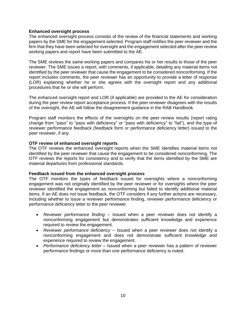## **Enhanced oversight process**

The enhanced oversight process consists of the review of the financial statements and working papers by the SME for the engagement selected. Program staff notifies the peer reviewer and the firm that they have been selected for oversight and the engagement selected after the peer review working papers and report have been submitted to the AE.

The SME reviews the same working papers and compares his or her results to those of the peer reviewer. The SME issues a report, with comments, if applicable, detailing any material items not identified by the peer reviewer that cause the engagement to be considered nonconforming. If the report includes comments, the peer reviewer has an opportunity to provide a letter of response (LOR) explaining whether he or she agrees with the oversight report and any additional procedures that he or she will perform.

The enhanced oversight report and LOR (if applicable) are provided to the AE for consideration during the peer review report acceptance process. If the peer reviewer disagrees with the results of the oversight, the AE will follow the disagreement guidance in the RAB Handbook.

Program staff monitors the effects of the oversights on the peer review results (report rating change from "pass" to "pass with deficiency" or "pass with deficiency" to "fail"), and the type of reviewer performance feedback (feedback form or performance deficiency letter) issued to the peer reviewer, if any.

#### **OTF review of enhanced oversight reports**

The OTF reviews the enhanced oversight reports when the SME identifies material items not identified by the peer reviewer that cause the engagement to be considered nonconforming. The OTF reviews the reports for consistency and to verify that the items identified by the SME are material departures from professional standards.

#### **Feedback issued from the enhanced oversight process**

The OTF monitors the types of feedback issued for oversights where a nonconforming engagement was not originally identified by the peer reviewer or for oversights where the peer reviewer identified the engagement as nonconforming but failed to identify additional material items. If an AE does not issue feedback, the OTF considers if any further actions are necessary, including whether to issue a reviewer performance finding, reviewer performance deficiency or performance deficiency letter to the peer reviewer.

- *Reviewer performance finding –* Issued when a peer reviewer does not identify a nonconforming engagement but demonstrates sufficient knowledge and experience required to review the engagement.
- *Reviewer performance deficiency –* Issued when a peer reviewer does not identify a nonconforming engagement and does not demonstrate sufficient knowledge and experience required to review the engagement.
- *Performance deficiency letter –* Issued when a peer reviewer has a pattern of reviewer performance findings or more than one performance deficiency is noted.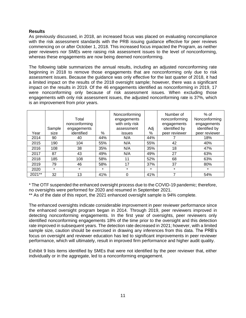## **Results**

As previously discussed, in 2018, an increased focus was placed on evaluating noncompliance with the risk assessment standards with the PRB issuing guidance effective for peer reviews commencing on or after October 1, 2018. This increased focus impacted the Program, as neither peer reviewers nor SMEs were raising risk assessment issues to the level of nonconforming, whereas these engagements are now being deemed nonconforming.

The following table summarizes the annual results, including an adjusted nonconforming rate beginning in 2018 to remove those engagements that are nonconforming only due to risk assessment issues. Because the guidance was only effective for the last quarter of 2018, it had a limited impact on the results of the 2018 oversight sample; however, there was a significant impact on the results in 2019. Of the 46 engagements identified as nonconforming in 2019, 17 were nonconforming only because of risk assessment issues. When excluding those engagements with only risk assessment issues, the adjusted nonconforming rate is 37%, which is an improvement from prior years.

|        |                | Total<br>nonconforming    |         | Nonconforming<br>engagements<br>with only risk |          | Number of<br>nonconforming<br>engagements | $%$ of<br>Nonconforming<br>engagements |
|--------|----------------|---------------------------|---------|------------------------------------------------|----------|-------------------------------------------|----------------------------------------|
| Year   | Sample<br>size | engagements<br>identified | %       | assessment<br>issues                           | Adj<br>% | identified by<br>peer reviewer            | identified by<br>peer reviewer         |
| 2014   | 90             | 40                        | 44%     | N/A                                            | 44%      |                                           | 18%                                    |
| 2015   | 190            | 104                       | 55%     | N/A                                            | 55%      | 42                                        | 40%                                    |
| 2016   | 108            | 38                        | 35%     | N/A                                            | 35%      | 18                                        | 47%                                    |
| 2017   | 87             | 43                        | 49%     | N/A                                            | 49%      | 27                                        | 63%                                    |
| 2018   | 185            | 108                       | 58%     | 11                                             | 52%      | 68                                        | 63%                                    |
| 2019   | 79             | 46                        | 58%     | 17                                             | 37%      | 37                                        | 80%                                    |
| 2020   | $\star$        | $\star$                   | $\star$ | $\star$                                        | $\star$  | $\star$                                   | $\star$                                |
| 2021** | 32             | 13                        | 41%     | $\Omega$                                       | 41%      | ⇁                                         | 54%                                    |

\* The OTF suspended the enhanced oversight process due to the COVID-19 pandemic; therefore, no oversights were performed for 2020 and resumed in September 2021.

\*\* As of the date of this report, the 2021 enhanced oversight sample is 94% complete.

The enhanced oversights indicate considerable improvement in peer reviewer performance since the enhanced oversight program began in 2014. Through 2019, peer reviewers improved in detecting nonconforming engagements. In the first year of oversights, peer reviewers only identified nonconforming engagements 18% of the time prior to the oversight and this detection rate improved in subsequent years. The detection rate decreased in 2021; however, with a limited sample size, caution should be exercised in drawing any inferences from this data. The PRB's focus on oversight and reviewer education has led to significant improvements in peer reviewer performance, which will ultimately, result in improved firm performance and higher audit quality.

Exhibit 9 lists items identified by SMEs that were not identified by the peer reviewer that, either individually or in the aggregate, led to a nonconforming engagement.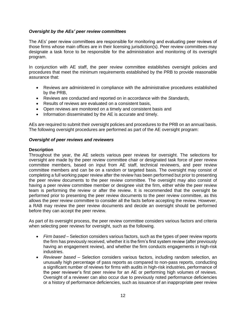## *Oversight by the AEs' peer review committees*

The AEs' peer review committees are responsible for monitoring and evaluating peer reviews of those firms whose main offices are in their licensing jurisdiction(s). Peer review committees may designate a task force to be responsible for the administration and monitoring of its oversight program.

In conjunction with AE staff, the peer review committee establishes oversight policies and procedures that meet the minimum requirements established by the PRB to provide reasonable assurance that:

- Reviews are administered in compliance with the administrative procedures established by the PRB,
- Reviews are conducted and reported on in accordance with the *Standards,*
- Results of reviews are evaluated on a consistent basis,
- Open reviews are monitored on a timely and consistent basis and
- Information disseminated by the AE is accurate and timely.

AEs are required to submit their oversight policies and procedures to the PRB on an annual basis. The following oversight procedures are performed as part of the AE oversight program:

# *Oversight of peer reviews and reviewers*

#### **Description**

Throughout the year, the AE selects various peer reviews for oversight. The selections for oversight are made by the peer review committee chair or designated task force of peer review committee members, based on input from AE staff, technical reviewers, and peer review committee members and can be on a random or targeted basis. The oversight may consist of completing a full working paper review after the review has been performed but prior to presenting the peer review documents to the peer review committee. The oversight may also consist of having a peer review committee member or designee visit the firm, either while the peer review team is performing the review or after the review. It is recommended that the oversight be performed prior to presenting the peer review documents to the peer review committee, as this allows the peer review committee to consider all the facts before accepting the review. However, a RAB may review the peer review documents and decide an oversight should be performed before they can accept the peer review.

As part of its oversight process, the peer review committee considers various factors and criteria when selecting peer reviews for oversight, such as the following.

- *Firm based* Selection considers various factors, such as the types of peer review reports the firm has previously received, whether it is the firm's first system review (after previously having an engagement review), and whether the firm conducts engagements in high-risk industries.
- *Reviewer based* Selection considers various factors, including random selection, an unusually high percentage of pass reports as compared to non-pass reports, conducting a significant number of reviews for firms with audits in high-risk industries, performance of the peer reviewer's first peer review for an AE or performing high volumes of reviews. Oversight of a reviewer can also occur due to previously noted performance deficiencies or a history of performance deficiencies, such as issuance of an inappropriate peer review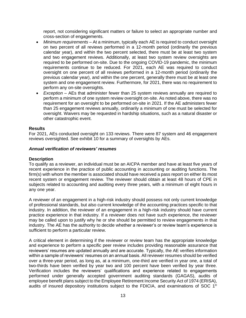report, not considering significant matters or failure to select an appropriate number and cross-section of engagements.

- *Minimum requirements* At a minimum, typically each AE is required to conduct oversight on two percent of all reviews performed in a 12-month period (ordinarily the previous calendar year), and within the two percent selected, there must be at least two system and two engagement reviews. Additionally, at least two system review oversights are required to be performed on-site. Due to the ongoing COVID-19 pandemic, the minimum requirements continue to be reduced. For 2021, each AE was required to conduct oversight on one percent of all reviews performed in a 12-month period (ordinarily the previous calendar year), and within the one percent, generally there must be at least one system and one engagement review. Furthermore, for 2021, there was no requirement to perform any on-site oversights.
- *Exception* AEs that administer fewer than 25 system reviews annually are required to perform a minimum of one system review oversight on-site. As noted above, there was no requirement for an oversight to be performed on-site in 2021. If the AE administers fewer than 25 engagement reviews annually, ordinarily a minimum of one must be selected for oversight. Waivers may be requested in hardship situations, such as a natural disaster or other catastrophic event.

#### **Results**

For 2021, AEs conducted oversight on 133 reviews. There were 87 system and 46 engagement reviews oversighted. See exhibit 10 for a summary of oversights by AEs.

#### *Annual verification of reviewers' resumes*

#### **Description**

To qualify as a reviewer, an individual must be an AICPA member and have at least five years of recent experience in the practice of public accounting in accounting or auditing functions. The firm(s) with whom the member is associated should have received a pass report on either its most recent system or engagement review. The reviewer should obtain at least 48 hours of CPE in subjects related to accounting and auditing every three years, with a minimum of eight hours in any one year.

A reviewer of an engagement in a high-risk industry should possess not only current knowledge of professional standards, but also current knowledge of the accounting practices specific to that industry. In addition, the reviewer of an engagement in a high-risk industry should have current practice experience in that industry. If a reviewer does not have such experience, the reviewer may be called upon to justify why he or she should be permitted to review engagements in that industry. The AE has the authority to decide whether a reviewer's or review team's experience is sufficient to perform a particular review.

A critical element in determining if the reviewer or review team has the appropriate knowledge and experience to perform a specific peer review includes providing reasonable assurance that reviewers' resumes are updated annually and are accurate. Typically, the AE verifies information within a sample of reviewers' resumes on an annual basis. All reviewer resumes should be verified over a three-year period, as long as, at a minimum, one-third are verified in year one, a total of two-thirds have been verified by year two and 100 percent have been verified by year three. Verification includes the reviewers' qualifications and experience related to engagements performed under generally accepted government auditing standards (GAGAS), audits of employee benefit plans subject to the Employee Retirement Income Security Act of 1974 (ERISA), audits of insured depository institutions subject to the FDICIA, and examinations of SOC  $1^\circ$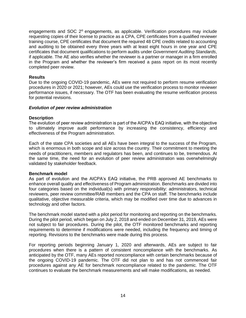engagements and SOC 2® engagements, as applicable. Verification procedures may include requesting copies of their license to practice as a CPA, CPE certificates from a qualified reviewer training course, CPE certificates that document the required 48 CPE credits related to accounting and auditing to be obtained every three years with at least eight hours in one year and CPE certificates that document qualifications to perform audits under *Government Auditing Standards*, if applicable. The AE also verifies whether the reviewer is a partner or manager in a firm enrolled in the Program and whether the reviewer's firm received a pass report on its most recently completed peer review.

#### **Results**

Due to the ongoing COVID-19 pandemic, AEs were not required to perform resume verification procedures in 2020 or 2021; however, AEs could use the verification process to monitor reviewer performance issues, if necessary. The OTF has been evaluating the resume verification process for potential revisions.

#### *Evolution of peer review administration*

#### **Description**

The evolution of peer review administration is part of the AICPA's EAQ initiative, with the objective to ultimately improve audit performance by increasing the consistency, efficiency and effectiveness of the Program administration.

Each of the state CPA societies and all AEs have been integral to the success of the Program, which is enormous in both scope and size across the country. Their commitment to meeting the needs of practitioners, members and regulators has been, and continues to be, tremendous. At the same time, the need for an evolution of peer review administration was overwhelmingly validated by stakeholder feedback.

#### **Benchmark model**

As part of evolution and the AICPA's EAQ initiative, the PRB approved AE benchmarks to enhance overall quality and effectiveness of Program administration. Benchmarks are divided into four categories based on the individual(s) with primary responsibility: administrators, technical reviewers, peer review committee/RAB members and the CPA on staff. The benchmarks include qualitative, objective measurable criteria, which may be modified over time due to advances in technology and other factors.

The benchmark model started with a pilot period for monitoring and reporting on the benchmarks. During the pilot period, which began on July 2, 2018 and ended on December 31, 2019, AEs were not subject to fair procedures. During the pilot, the OTF monitored benchmarks and reporting requirements to determine if modifications were needed, including the frequency and timing of reporting. Revisions to the benchmarks were made during this process.

For reporting periods beginning January 1, 2020 and afterwards, AEs are subject to fair procedures when there is a pattern of consistent noncompliance with the benchmarks. As anticipated by the OTF, many AEs reported noncompliance with certain benchmarks because of the ongoing COVID-19 pandemic. The OTF did not plan to and has not commenced fair procedures against any AE for benchmark noncompliance related to the pandemic. The OTF continues to evaluate the benchmark measurements and will make modifications, as needed.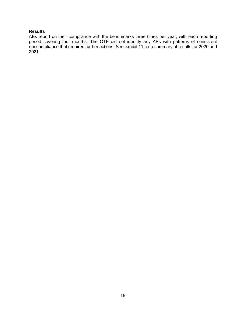# **Results**

AEs report on their compliance with the benchmarks three times per year, with each reporting period covering four months. The OTF did not identify any AEs with patterns of consistent noncompliance that required further actions. See exhibit 11 for a summary of results for 2020 and 2021.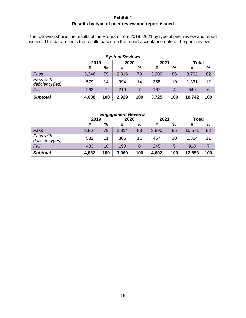# **Exhibit 1 Results by type of peer review and report issued**

<span id="page-19-0"></span>The following shows the results of the Program from 2019–2021 by type of peer review and report issued. This data reflects the results based on the report acceptance date of the peer review.

| <b>System Reviews</b>        |       |      |       |     |       |     |              |     |
|------------------------------|-------|------|-------|-----|-------|-----|--------------|-----|
|                              | 2019  |      | 2020  |     | 2021  |     | <b>Total</b> |     |
|                              | #     | $\%$ | #     | %   | #     | %   | #            | %   |
| Pass                         | 3,246 | 79   | 2,316 | 79  | 3,200 | 86  | 8,762        | 82  |
| Pass with<br>deficiency(ies) | 579   | 14   | 394   | 14  | 358   | 10  | 1,331        | 12  |
| Fail                         | 263   | 7    | 219   |     | 167   | 4   | 649          | 6   |
| <b>Subtotal</b>              | 4,088 | 100  | 2,929 | 100 | 3,725 | 100 | 10,742       | 100 |

| <b>Engagement Reviews</b>    |       |     |       |     |       |     |              |     |
|------------------------------|-------|-----|-------|-----|-------|-----|--------------|-----|
|                              | 2019  |     | 2020  |     | 2021  |     | <b>Total</b> |     |
|                              | #     | %   | #     | %   | #     | %   | #            | %   |
| Pass                         | 3,867 | 79  | 2,814 | 83  | 3,890 | 85  | 10,571       | 82  |
| Pass with<br>deficiency(ies) | 532   | 11  | 365   | 11  | 467   | 10  | 1,364        | 11  |
| Fail                         | 483   | 10  | 190   | 6   | 245   | 5   | 918          |     |
| <b>Subtotal</b>              | 4,882 | 100 | 3,369 | 100 | 4,602 | 100 | 12,853       | 100 |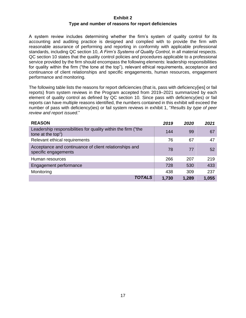#### **Exhibit 2**

#### **Type and number of reasons for report deficiencies**

<span id="page-20-0"></span>A system review includes determining whether the firm's system of quality control for its accounting and auditing practice is designed and complied with to provide the firm with reasonable assurance of performing and reporting in conformity with applicable professional standards, including QC section 10, *A Firm's Systems of Quality Control*, in all material respects. QC section 10 states that the quality control policies and procedures applicable to a professional service provided by the firm should encompass the following elements: leadership responsibilities for quality within the firm ("the tone at the top"), relevant ethical requirements, acceptance and continuance of client relationships and specific engagements, human resources, engagement performance and monitoring.

The following table lists the reasons for report deficiencies (that is, pass with deficiency[ies] or fail reports) from system reviews in the Program accepted from 2019–2021 summarized by each element of quality control as defined by QC section 10. Since pass with deficiency(ies) or fail reports can have multiple reasons identified, the numbers contained in this exhibit will exceed the number of pass with deficiency(ies) or fail system reviews in exhibit 1, "*Results by type of peer review and report issued*."

| <b>REASON</b>                                                                      | 2019  | 2020  | 2021            |
|------------------------------------------------------------------------------------|-------|-------|-----------------|
| Leadership responsibilities for quality within the firm ("the<br>tone at the top") | 144   | 99    | 67              |
| Relevant ethical requirements                                                      | 76    | 67    | 47              |
| Acceptance and continuance of client relationships and<br>specific engagements     | 78    | 77    | 52 <sub>2</sub> |
| Human resources                                                                    | 266   | 207   | 219             |
| Engagement performance                                                             | 728   | 530   | 433             |
| Monitoring                                                                         | 438   | 309   | 237             |
| TOTALS                                                                             | 1,730 | 1,289 | 1,055           |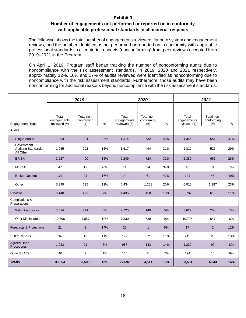# **Exhibit 3**

# **Number of engagements not performed or reported on in conformity with applicable professional standards in all material respects**

<span id="page-21-0"></span>The following shows the total number of engagements reviewed, for both system and engagement reviews, and the number identified as not performed or reported on in conformity with applicable professional standards in all material respects (nonconforming) from peer reviews accepted from 2019–2021 in the Program.

On April 1, 2019, Program staff began tracking the number of nonconforming audits due to noncompliance with the risk assessment standards. In 2019, 2020 and 2021 respectively, approximately 12%, 16% and 17% of audits reviewed were identified as nonconforming due to noncompliance with the risk assessment standards. Furthermore, those audits may have been nonconforming for additional reasons beyond noncompliance with the risk assessment standards.

|                                                 | 2019                                 |                                  |     |                                      | 2020                             |     |                                      | 2021                             |     |  |
|-------------------------------------------------|--------------------------------------|----------------------------------|-----|--------------------------------------|----------------------------------|-----|--------------------------------------|----------------------------------|-----|--|
| <b>Engagement Type</b>                          | Total<br>engagements<br>reviewed (#) | Total non-<br>conforming<br>(# ) | %   | Total<br>engagements<br>reviewed (#) | Total non-<br>conforming<br>(# ) | %   | Total<br>engagements<br>reviewed (#) | Total non-<br>conforming<br>(# ) | %   |  |
| Audits:                                         |                                      |                                  |     |                                      |                                  |     |                                      |                                  |     |  |
| <b>Single Audits</b>                            | 1,353                                | 304                              | 22% | 1,314                                | 532                              | 40% | 1,346                                | 554                              | 41% |  |
| Government<br>Auditing Standards -<br>All Other | 1,955                                | 292                              | 15% | 1,617                                | 494                              | 31% | 1.812                                | 526                              | 29% |  |
| <b>ERISA</b>                                    | 2,527                                | 400                              | 16% | 2,249                                | 724                              | 32% | 2,380                                | 665                              | 28% |  |
| <b>FDICIA</b>                                   | 47                                   | 12                               | 26% | 71                                   | 24                               | 34% | 46                                   | 3                                | 7%  |  |
| <b>Broker-Dealers</b>                           | 121                                  | 21                               | 17% | 144                                  | 61                               | 42% | 121                                  | 48                               | 40% |  |
| Other                                           | 5,349                                | 635                              | 12% | 6,434                                | 1,261                            | 20% | 6,016                                | 1,387                            | 23% |  |
| <b>Reviews</b>                                  | 6,140                                | 423                              | 7%  | 4,435                                | 450                              | 10% | 5,787                                | 616                              | 11% |  |
| Compilations &<br>Preparations:                 |                                      |                                  |     |                                      |                                  |     |                                      |                                  |     |  |
| <b>With Disclosures</b>                         | 3,894                                | 244                              | 6%  | 2,725                                | 149                              | 5%  | 3,629                                | 250                              | 7%  |  |
| <b>Omit Disclosures</b>                         | 10,696                               | 1,057                            | 10% | 7,330                                | 639                              | 9%  | 10,736                               | 647                              | 6%  |  |
| Forecasts & Projections                         | 21                                   | 3                                | 14% | 22                                   | $\mathbf{1}$                     | 5%  | 17                                   | 2                                | 12% |  |
| SOC <sup>®</sup> Reports                        | 167                                  | 19                               | 11% | 199                                  | 22                               | 11% | 215                                  | 28                               | 13% |  |
| <b>Agreed Upon</b><br>Procedures                | 1,223                                | 91                               | 7%  | 987                                  | 143                              | 14% | 1,232                                | 99                               | 8%  |  |
| Other SSAEs                                     | 161                                  | $\overline{2}$                   | 1%  | 165                                  | 11                               | 7%  | 194                                  | 18                               | 9%  |  |
| <b>Totals</b>                                   | 33,654                               | 3,503                            | 10% | 27,692                               | 4,511                            | 16% | 33,531                               | 4,843                            | 14% |  |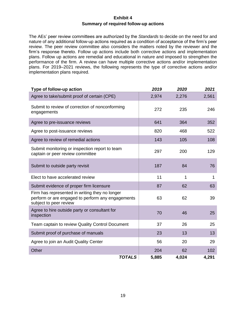# **Exhibit 4 Summary of required follow-up actions**

<span id="page-22-0"></span>The AEs' peer review committees are authorized by the *Standards* to decide on the need for and nature of any additional follow-up actions required as a condition of acceptance of the firm's peer review. The peer review committee also considers the matters noted by the reviewer and the firm's response thereto. Follow up actions include both corrective actions and implementation plans. Follow up actions are remedial and educational in nature and imposed to strengthen the performance of the firm. A review can have multiple corrective actions and/or implementation plans. For 2019–2021 reviews, the following represents the type of corrective actions and/or implementation plans required.

| Type of follow-up action                                                                                                      | 2019  | 2020  | 2021  |
|-------------------------------------------------------------------------------------------------------------------------------|-------|-------|-------|
| Agree to take/submit proof of certain (CPE)                                                                                   | 2,974 | 2,276 | 2,561 |
| Submit to review of correction of nonconforming<br>engagements                                                                | 272   | 235   | 246   |
| Agree to pre-issuance reviews                                                                                                 | 641   | 364   | 352   |
| Agree to post-issuance reviews                                                                                                | 820   | 468   | 522   |
| Agree to review of remedial actions                                                                                           | 143   | 105   | 108   |
| Submit monitoring or inspection report to team<br>captain or peer review committee                                            | 297   | 200   | 129   |
| Submit to outside party revisit                                                                                               | 187   | 84    | 76    |
| Elect to have accelerated review                                                                                              | 11    | 1     | 1     |
| Submit evidence of proper firm licensure                                                                                      | 87    | 62    | 63    |
| Firm has represented in writing they no longer<br>perform or are engaged to perform any engagements<br>subject to peer review | 63    | 62    | 39    |
| Agree to hire outside party or consultant for<br>inspection                                                                   | 70    | 46    | 25    |
| Team captain to review Quality Control Document                                                                               | 37    | 26    | 25    |
| Submit proof of purchase of manuals                                                                                           | 23    | 13    | 13    |
| Agree to join an Audit Quality Center                                                                                         | 56    | 20    | 29    |
| Other                                                                                                                         | 204   | 62    | 102   |
| <b>TOTALS</b>                                                                                                                 | 5,885 | 4,024 | 4,291 |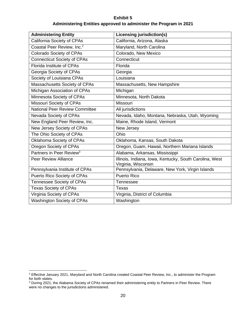# **Exhibit 5 Administering Entities approved to administer the Program in 2021**

<span id="page-23-0"></span>

| <b>Administering Entity</b>            | <b>Licensing jurisdiction(s)</b>                                               |
|----------------------------------------|--------------------------------------------------------------------------------|
| California Society of CPAs             | California, Arizona, Alaska                                                    |
| Coastal Peer Review, Inc. <sup>2</sup> | Maryland, North Carolina                                                       |
| Colorado Society of CPAs               | Colorado, New Mexico                                                           |
| <b>Connecticut Society of CPAs</b>     | Connecticut                                                                    |
| <b>Florida Institute of CPAs</b>       | Florida                                                                        |
| Georgia Society of CPAs                | Georgia                                                                        |
| Society of Louisiana CPAs              | Louisiana                                                                      |
| Massachusetts Society of CPAs          | Massachusetts, New Hampshire                                                   |
| Michigan Association of CPAs           | Michigan                                                                       |
| Minnesota Society of CPAs              | Minnesota, North Dakota                                                        |
| Missouri Society of CPAs               | Missouri                                                                       |
| <b>National Peer Review Committee</b>  | All jurisdictions                                                              |
| Nevada Society of CPAs                 | Nevada, Idaho, Montana, Nebraska, Utah, Wyoming                                |
| New England Peer Review, Inc.          | Maine, Rhode Island, Vermont                                                   |
| New Jersey Society of CPAs             | New Jersey                                                                     |
| The Ohio Society of CPAs               | Ohio                                                                           |
| Oklahoma Society of CPAs               | Oklahoma, Kansas, South Dakota                                                 |
| Oregon Society of CPAs                 | Oregon, Guam, Hawaii, Northern Mariana Islands                                 |
| Partners in Peer Review <sup>3</sup>   | Alabama, Arkansas, Mississippi                                                 |
| <b>Peer Review Alliance</b>            | Illinois, Indiana, Iowa, Kentucky, South Carolina, West<br>Virginia, Wisconsin |
| Pennsylvania Institute of CPAs         | Pennsylvania, Delaware, New York, Virgin Islands                               |
| Puerto Rico Society of CPAs            | <b>Puerto Rico</b>                                                             |
| Tennessee Society of CPAs              | Tennessee                                                                      |
| <b>Texas Society of CPAs</b>           | <b>Texas</b>                                                                   |
| Virginia Society of CPAs               | Virginia, District of Columbia                                                 |
| <b>Washington Society of CPAs</b>      | Washington                                                                     |

<sup>&</sup>lt;sup>2</sup> Effective January 2021, Maryland and North Carolina created Coastal Peer Review, Inc., to administer the Program for both states.

<sup>&</sup>lt;sup>3</sup> During 2021, the Alabama Society of CPAs renamed their administering entity to Partners in Peer Review. There were no changes to the jurisdictions administered.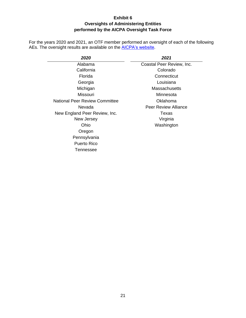# **Exhibit 6 Oversights of Administering Entities performed by the AICPA Oversight Task Force**

<span id="page-24-0"></span>For the years 2020 and 2021, an OTF member performed an oversight of each of the following AEs. The oversight results are available on the **AICPA's website**.

| 2020                                  | 2021                        |
|---------------------------------------|-----------------------------|
| Alabama                               | Coastal Peer Review, Inc.   |
| California                            | Colorado                    |
| Florida                               | Connecticut                 |
| Georgia                               | Louisiana                   |
| Michigan                              | Massachusetts               |
| Missouri                              | Minnesota                   |
| <b>National Peer Review Committee</b> | Oklahoma                    |
| Nevada                                | <b>Peer Review Alliance</b> |
| New England Peer Review, Inc.         | Texas                       |
| New Jersey                            | Virginia                    |
| Ohio                                  | Washington                  |
| Oregon                                |                             |
| Pennsylvania                          |                             |
| Puerto Rico                           |                             |
| Tennessee                             |                             |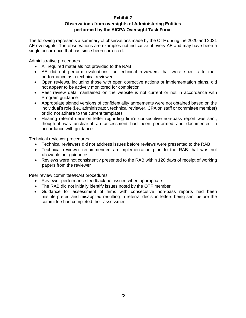# **Exhibit 7 Observations from oversights of Administering Entities performed by the AICPA Oversight Task Force**

<span id="page-25-0"></span>The following represents a summary of observations made by the OTF during the 2020 and 2021 AE oversights. The observations are examples not indicative of every AE and may have been a single occurrence that has since been corrected.

Administrative procedures

- All required materials not provided to the RAB
- AE did not perform evaluations for technical reviewers that were specific to their performance as a technical reviewer
- Open reviews, including those with open corrective actions or implementation plans, did not appear to be actively monitored for completion
- Peer review data maintained on the website is not current or not in accordance with Program guidance
- Appropriate signed versions of confidentiality agreements were not obtained based on the individual's role (i.e., administrator, technical reviewer, CPA on staff or committee member) or did not adhere to the current templates
- Hearing referral decision letter regarding firm's consecutive non-pass report was sent, though it was unclear if an assessment had been performed and documented in accordance with guidance

Technical reviewer procedures

- Technical reviewers did not address issues before reviews were presented to the RAB
- Technical reviewer recommended an implementation plan to the RAB that was not allowable per guidance
- Reviews were not consistently presented to the RAB within 120 days of receipt of working papers from the reviewer

Peer review committee/RAB procedures

- Reviewer performance feedback not issued when appropriate
- The RAB did not initially identify issues noted by the OTF member
- Guidance for assessment of firms with consecutive non-pass reports had been misinterpreted and misapplied resulting in referral decision letters being sent before the committee had completed their assessment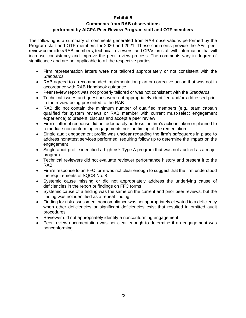# **Exhibit 8**

#### **Comments from RAB observations performed by AICPA Peer Review Program staff and OTF members**

<span id="page-26-0"></span>The following is a summary of comments generated from RAB observations performed by the Program staff and OTF members for 2020 and 2021. These comments provide the AEs' peer review committee/RAB members, technical reviewers, and CPAs on staff with information that will increase consistency and improve the peer review process. The comments vary in degree of significance and are not applicable to all the respective parties.

- Firm representation letters were not tailored appropriately or not consistent with the *Standards*
- RAB agreed to a recommended implementation plan or corrective action that was not in accordance with RAB Handbook guidance
- Peer review report was not properly tailored or was not consistent with the *Standards*
- Technical issues and questions were not appropriately identified and/or addressed prior to the review being presented to the RAB
- RAB did not contain the minimum number of qualified members (e.g., team captain qualified for system reviews or RAB member with current must-select engagement experience) to present, discuss and accept a peer review
- Firm's letter of response did not adequately address the firm's actions taken or planned to remediate nonconforming engagements nor the timing of the remediation
- Single audit engagement profile was unclear regarding the firm's safeguards in place to address nonattest services performed, requiring follow up to determine the impact on the engagement
- Single audit profile identified a high-risk Type A program that was not audited as a major program
- Technical reviewers did not evaluate reviewer performance history and present it to the RAB
- Firm's response to an FFC form was not clear enough to suggest that the firm understood the requirements of SQCS No. 8
- Systemic cause missing or did not appropriately address the underlying cause of deficiencies in the report or findings on FFC forms
- Systemic cause of a finding was the same on the current and prior peer reviews, but the finding was not identified as a repeat finding
- Finding for risk assessment noncompliance was not appropriately elevated to a deficiency when other deficiencies or significant deficiencies exist that resulted in omitted audit procedures
- Reviewer did not appropriately identify a nonconforming engagement
- Peer review documentation was not clear enough to determine if an engagement was nonconforming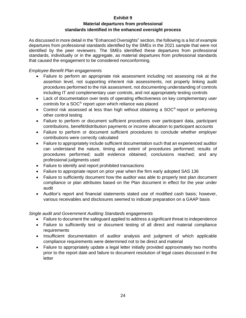# **Exhibit 9**

# **Material departures from professional standards identified in the enhanced oversight process**

<span id="page-27-0"></span>As discussed in more detail in the "Enhanced Oversights" section, the following is a list of example departures from professional standards identified by the SMEs in the 2021 sample that were not identified by the peer reviewers. The SMEs identified these departures from professional standards, individually or in the aggregate, as material departures from professional standards that caused the engagement to be considered nonconforming.

# *Employee Benefit Plan engagements*

- Failure to perform an appropriate risk assessment including not assessing risk at the assertion level, not supporting inherent risk assessments, not properly linking audit procedures performed to the risk assessment, not documenting understanding of controls including IT and complementary user controls, and not appropriately testing controls
- Lack of documentation over tests of operating effectiveness on key complementary user controls for a SOC® report upon which reliance was placed
- Control risk assessed at less than high without obtaining a SOC<sup>®</sup> report or performing other control testing
- Failure to perform or document sufficient procedures over participant data, participant contributions, benefit/distribution payments or income allocation to participant accounts
- Failure to perform or document sufficient procedures to conclude whether employer contributions were correctly calculated
- Failure to appropriately include sufficient documentation such that an experienced auditor can understand the nature, timing and extent of procedures performed; results of procedures performed; audit evidence obtained; conclusions reached; and any professional judgments used
- Failure to identify and report prohibited transactions
- Failure to appropriate report on prior year when the firm early adopted SAS 136
- Failure to sufficiently document how the auditor was able to properly test plan document compliance or plan attributes based on the Plan document in effect for the year under audit
- Auditor's report and financial statements stated use of modified cash basis; however, various receivables and disclosures seemed to indicate preparation on a GAAP basis

# *Single audit and Government Auditing Standards engagements*

- Failure to document the safeguard applied to address a significant threat to independence
- Failure to sufficiently test or document testing of all direct and material compliance requirements
- Insufficient documentation of auditor analysis and judgment of which applicable compliance requirements were determined not to be direct and material
- Failure to appropriately update a legal letter initially provided approximately two months prior to the report date and failure to document resolution of legal cases discussed in the letter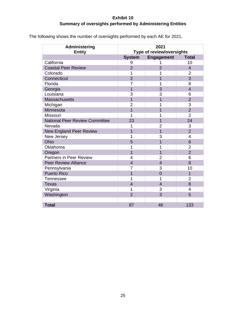# **Exhibit 10 Summary of oversights performed by Administering Entities**

<span id="page-28-0"></span>

| The following shows the number of oversights performed by each AE for 2021. |  |
|-----------------------------------------------------------------------------|--|
|                                                                             |  |

| <b>Administering</b><br><b>Entity</b> | 2021<br>Type of review/oversights |                   |                          |
|---------------------------------------|-----------------------------------|-------------------|--------------------------|
|                                       | <b>System</b>                     | <b>Engagement</b> | <b>Total</b>             |
| California                            | 9                                 | 1                 | 10                       |
| <b>Coastal Peer Review</b>            | $\overline{2}$                    | $\overline{2}$    | 4                        |
| Colorado                              | 1                                 | 1                 | $\overline{2}$           |
| Connecticut                           | $\overline{2}$                    | 1                 | 3                        |
| Florida                               | 7                                 | 1                 | 8                        |
| Georgia                               | 1                                 | 3                 | $\overline{\mathcal{L}}$ |
| Louisiana                             | 3                                 | 3                 | 6                        |
| <b>Massachusetts</b>                  | $\overline{1}$                    | $\overline{1}$    | $\overline{2}$           |
| Michigan                              | $\overline{2}$                    | 1                 | 3                        |
| Minnesota                             | 1                                 | 1                 | $\overline{2}$           |
| Missouri                              | 1                                 | 1                 | $\overline{2}$           |
| <b>National Peer Review Committee</b> | 23                                | 1                 | 24                       |
| Nevada                                | 1                                 | 2                 | 3                        |
| <b>New England Peer Review</b>        | 1                                 | 1                 | $\overline{2}$           |
| New Jersey                            | 1                                 | 3                 | 4                        |
| Ohio                                  | 5                                 | $\overline{1}$    | 6                        |
| Oklahoma                              | 1                                 | 1                 | 2                        |
| Oregon                                | 1                                 | 1                 | $\overline{2}$           |
| <b>Partners in Peer Review</b>        | 4                                 | 2                 | 6                        |
| <b>Peer Review Alliance</b>           | $\overline{4}$                    | $\overline{4}$    | 8                        |
| Pennsylvania                          | 7                                 | 3                 | 10                       |
| <b>Puerto Rico</b>                    | 1                                 | $\overline{0}$    | 1                        |
| Tennessee                             | 1                                 | 1                 | 2                        |
| <b>Texas</b>                          | $\overline{4}$                    | $\overline{4}$    | 8                        |
| Virginia                              | 1                                 | 3                 | 4                        |
| Washington                            | $\overline{2}$                    | 3                 | 5                        |
|                                       |                                   |                   |                          |
| <b>Total</b>                          | 87                                | 46                | 133                      |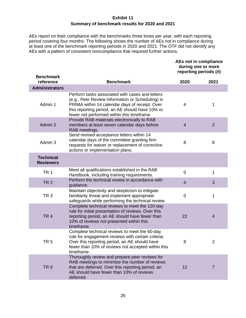# **Exhibit 11 Summary of benchmark results for 2020 and 2021**

<span id="page-29-0"></span>AEs report on their compliance with the benchmarks three times per year, with each reporting period covering four months. The following shows the number of AEs not in compliance during at least one of the benchmark reporting periods in 2020 and 2021. The OTF did not identify any AEs with a pattern of consistent noncompliance that required further actions.

| <b>AEs not in compliance</b> |
|------------------------------|
| during one or more           |
| reporting periods (#)        |

| <b>Benchmark</b><br>reference        | <b>Benchmark</b>                                                                                                                                                                                                                                       | 2020           | 2021           |
|--------------------------------------|--------------------------------------------------------------------------------------------------------------------------------------------------------------------------------------------------------------------------------------------------------|----------------|----------------|
| <b>Administrators</b>                |                                                                                                                                                                                                                                                        |                |                |
| Admin 1                              | Perform tasks associated with cases and letters<br>(e.g., Peer Review Information or Scheduling) in<br>PRIMA within 14 calendar days of receipt. Over<br>this reporting period, an AE should have 10% or<br>fewer not performed within this timeframe. | $\overline{4}$ | 1              |
| Admin 2                              | Provide RAB materials electronically to RAB<br>members at least seven calendar days before<br>RAB meetings.                                                                                                                                            | $\overline{4}$ | $\overline{2}$ |
| Admin 3                              | Send revised acceptance letters within 14<br>calendar days of the committee granting firm<br>requests for waiver or replacement of corrective<br>actions or implementation plans.                                                                      | 8              | 8              |
| <b>Technical</b><br><b>Reviewers</b> |                                                                                                                                                                                                                                                        |                |                |
| TR <sub>1</sub>                      | Meet all qualifications established in the RAB<br>Handbook, including training requirements.                                                                                                                                                           | $\overline{0}$ | $\mathbf{1}$   |
| TR <sub>2</sub>                      | Perform the technical review in accordance with<br>guidance.                                                                                                                                                                                           | $\overline{4}$ | 3              |
| TR <sub>3</sub>                      | Maintain objectivity and skepticism to mitigate<br>familiarity threat and implement appropriate<br>safeguards while performing the technical review.                                                                                                   | $\mathbf 0$    | 1              |
| TR <sub>4</sub>                      | Complete technical reviews to meet the 120-day<br>rule for initial presentation of reviews. Over this<br>reporting period, an AE should have fewer than<br>10% of reviews not presented within this<br>timeframe.                                      | 22             | $\overline{4}$ |
| TR <sub>5</sub>                      | Complete technical reviews to meet the 60-day<br>rule for engagement reviews with certain criteria.<br>Over this reporting period, an AE should have<br>fewer than 10% of reviews not accepted within this<br>timeframe.                               | 8              | $\overline{2}$ |
| TR <sub>6</sub>                      | Thoroughly review and prepare peer reviews for<br>RAB meetings to minimize the number of reviews<br>that are deferred. Over this reporting period, an<br>AE should have fewer than 10% of reviews<br>deferred.                                         | 12             | $\overline{7}$ |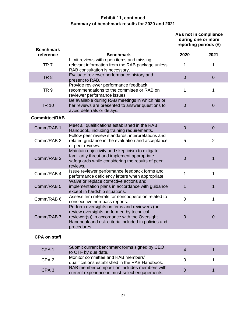# **Exhibit 11, continued Summary of benchmark results for 2020 and 2021**

**AEs not in compliance during one or more reporting periods (#)**

| <b>Benchmark</b>     |                                                                                                                                                                                                                  |                |                |
|----------------------|------------------------------------------------------------------------------------------------------------------------------------------------------------------------------------------------------------------|----------------|----------------|
| reference            | <b>Benchmark</b>                                                                                                                                                                                                 | 2020           | 2021           |
| TR <sub>7</sub>      | Limit reviews with open items and missing<br>relevant information from the RAB package unless<br>RAB consultation is necessary.                                                                                  | 1              | 1              |
| TR <sub>8</sub>      | Evaluate reviewer performance history and<br>present to RAB.                                                                                                                                                     | $\overline{0}$ | $\mathbf 0$    |
| TR <sub>9</sub>      | Provide reviewer performance feedback<br>recommendations to the committee or RAB on<br>reviewer performance issues.                                                                                              | 1              | 1              |
| <b>TR 10</b>         | Be available during RAB meetings in which his or<br>her reviews are presented to answer questions to<br>avoid deferrals or delays.                                                                               | $\overline{0}$ | $\mathbf 0$    |
| <b>Committee/RAB</b> |                                                                                                                                                                                                                  |                |                |
| Comm/RAB 1           | Meet all qualifications established in the RAB<br>Handbook, including training requirements.                                                                                                                     | $\overline{0}$ | $\overline{0}$ |
| Comm/RAB 2           | Follow peer review standards, interpretations and<br>related guidance in the evaluation and acceptance<br>of peer reviews.                                                                                       | 5              | $\overline{2}$ |
| Comm/RAB 3           | Maintain objectivity and skepticism to mitigate<br>familiarity threat and implement appropriate<br>safeguards while considering the results of peer<br>reviews.                                                  | $\mathbf 0$    | 1              |
| Comm/RAB 4           | Issue reviewer performance feedback forms and<br>performance deficiency letters when appropriate.                                                                                                                | $\mathbf{1}$   | 1              |
| Comm/RAB 5           | Waive or replace corrective actions and<br>implementation plans in accordance with guidance<br>except in hardship situations.                                                                                    | 1              | 1              |
| Comm/RAB 6           | Assess firm referrals for noncooperation related to<br>consecutive non-pass reports.                                                                                                                             | $\overline{0}$ | 1              |
| Comm/RAB 7           | Perform oversights on firms and reviewers (or<br>review oversights performed by technical<br>reviewer(s)) in accordance with the Oversight<br>Handbook and risk criteria included in policies and<br>procedures. | $\mathbf 0$    | $\mathbf 0$    |

# **CPA on staff**

| CPA <sub>1</sub> | Submit current benchmark forms signed by CEO<br>to OTF by due date.                            |  |
|------------------|------------------------------------------------------------------------------------------------|--|
| CPA <sub>2</sub> | Monitor committee and RAB members'<br>qualifications established in the RAB Handbook.          |  |
| CPA <sub>3</sub> | RAB member composition includes members with<br>current experience in must-select engagements. |  |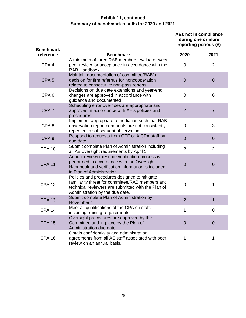# **Exhibit 11, continued Summary of benchmark results for 2020 and 2021**

**AEs not in compliance during one or more reporting periods (#)**

| <b>Benchmark</b><br>reference | <b>Benchmark</b>                                                                                                                                                                          | 2020           | 2021           |
|-------------------------------|-------------------------------------------------------------------------------------------------------------------------------------------------------------------------------------------|----------------|----------------|
|                               | A minimum of three RAB members evaluate every                                                                                                                                             |                |                |
| CPA <sub>4</sub>              | peer review for acceptance in accordance with the<br>RAB Handbook.                                                                                                                        | $\overline{0}$ | $\overline{2}$ |
| CPA <sub>5</sub>              | Maintain documentation of committee/RAB's<br>decision for firm referrals for noncooperation<br>related to consecutive non-pass reports.                                                   | $\overline{0}$ | $\overline{0}$ |
| CPA <sub>6</sub>              | Decisions on due date extensions and year-end<br>changes are approved in accordance with<br>guidance and documented.                                                                      | $\overline{0}$ | $\overline{0}$ |
| CPA <sub>7</sub>              | Scheduling error overrides are appropriate and<br>approved in accordance with AE's policies and<br>procedures.                                                                            | $\overline{2}$ | $\overline{7}$ |
| CPA <sub>8</sub>              | Implement appropriate remediation such that RAB<br>observation report comments are not consistently<br>repeated in subsequent observations.                                               | $\mathbf 0$    | 3              |
| CPA <sub>9</sub>              | Respond to requests from OTF or AICPA staff by<br>due date.                                                                                                                               | $\overline{0}$ | $\overline{0}$ |
| <b>CPA 10</b>                 | Submit complete Plan of Administration including<br>all AE oversight requirements by April 1.                                                                                             | $\overline{2}$ | $\overline{2}$ |
| <b>CPA 11</b>                 | Annual reviewer resume verification process is<br>performed in accordance with the Oversight<br>Handbook and verification information is included<br>in Plan of Administration.           | $\overline{0}$ | $\overline{0}$ |
| <b>CPA 12</b>                 | Policies and procedures designed to mitigate<br>familiarity threat for committee/RAB members and<br>technical reviewers are submitted with the Plan of<br>Administration by the due date. | $\mathbf 0$    | 1              |
| <b>CPA 13</b>                 | Submit complete Plan of Administration by<br>November 1.                                                                                                                                  | $\overline{2}$ | $\mathbf 1$    |
| <b>CPA 14</b>                 | Meet all qualifications of the CPA on staff,<br>including training requirements.                                                                                                          | 1              | $\mathbf 0$    |
| <b>CPA 15</b>                 | Oversight procedures are approved by the<br>Committee and in place by the Plan of<br>Administration due date.                                                                             | $\overline{0}$ | $\overline{0}$ |
| <b>CPA 16</b>                 | Obtain confidentiality and administration<br>agreements from all AE staff associated with peer<br>review on an annual basis.                                                              | 1              | 1              |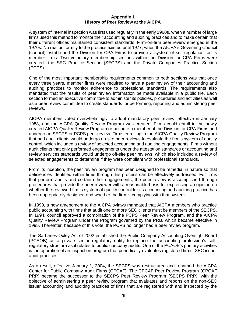#### **Appendix 1 History of Peer Review at the AICPA**

<span id="page-32-0"></span>A system of internal inspection was first used regularly in the early 1960s, when a number of large firms used this method to monitor their accounting and auditing practices and to make certain that their different offices maintained consistent standards. Firm-on-firm peer review emerged in the 1970s. No real uniformity to the process existed until 1977, when the AICPA's Governing Council (council) established the Division for CPA Firms to provide a system of self-regulation for its member firms. Two voluntary membership sections within the Division for CPA Firms were created—the SEC Practice Section (SECPS) and the Private Companies Practice Section (PCPS).

One of the most important membership requirements common to both sections was that once every three years, member firms were required to have a peer review of their accounting and auditing practices to monitor adherence to professional standards. The requirements also mandated that the results of peer review information be made available in a public file. Each section formed an executive committee to administer its policies, procedures and activities as well as a peer review committee to create standards for performing, reporting and administering peer reviews.

AICPA members voted overwhelmingly to adopt mandatory peer review, effective in January 1988, and the AICPA Quality Review Program was created. Firms could enroll in the newly created AICPA Quality Review Program or become a member of the Division for CPA Firms and undergo an SECPS or PCPS peer review. Firms enrolling in the AICPA Quality Review Program that had audit clients would undergo on-site peer reviews to evaluate the firm's system of quality control, which included a review of selected accounting and auditing engagements. Firms without audit clients that only performed engagements under the attestation standards or accounting and review services standards would undergo off-site peer reviews, which also included a review of selected engagements to determine if they were compliant with professional standards.

From its inception, the peer review program has been designed to be remedial in nature so that deficiencies identified within firms through this process can be effectively addressed. For firms that perform audits and certain other engagements, the peer review is accomplished through procedures that provide the peer reviewer with a reasonable basis for expressing an opinion on whether the reviewed firm's system of quality control for its accounting and auditing practice has been appropriately designed and whether the firm is complying with that system.

In 1990, a new amendment to the AICPA bylaws mandated that AICPA members who practice public accounting with firms that audit one or more SEC clients must be members of the SECPS. In 1994, council approved a combination of the PCPS Peer Review Program, and the AICPA Quality Review Program under the Program governed by the PRB, which became effective in 1995. Thereafter, because of this vote, the PCPS no longer had a peer review program.

The Sarbanes-Oxley Act of 2002 established the Public Company Accounting Oversight Board (PCAOB) as a private sector regulatory entity to replace the accounting profession's selfregulatory structure as it relates to public company audits. One of the PCAOB's primary activities is the operation of an inspection program that periodically evaluates registered firms' SEC issuer audit practices.

As a result, effective January 1, 2004, the SECPS was restructured and renamed the AICPA Center for Public Company Audit Firms (CPCAF). The CPCAF Peer Review Program (CPCAF PRP) became the successor to the SECPS Peer Review Program (SECPS PRP), with the objective of administering a peer review program that evaluates and reports on the non-SEC issuer accounting and auditing practices of firms that are registered with and inspected by the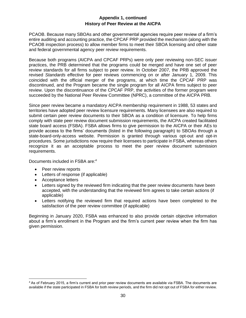# **Appendix 1, continued History of Peer Review at the AICPA**

PCAOB. Because many SBOAs and other governmental agencies require peer review of a firm's entire auditing and accounting practice, the CPCAF PRP provided the mechanism (along with the PCAOB inspection process) to allow member firms to meet their SBOA licensing and other state and federal governmental agency peer review requirements.

Because both programs (AICPA and CPCAF PRPs) were only peer reviewing non-SEC issuer practices, the PRB determined that the programs could be merged and have one set of peer review standards for all firms subject to peer review. In October 2007, the PRB approved the revised *Standards* effective for peer reviews commencing on or after January 1, 2009. This coincided with the official merger of the programs, at which time the CPCAF PRP was discontinued, and the Program became the single program for all AICPA firms subject to peer review. Upon the discontinuance of the CPCAF PRP, the activities of the former program were succeeded by the National Peer Review Committee (NPRC), a committee of the AICPA PRB.

Since peer review became a mandatory AICPA membership requirement in 1988, 53 states and territories have adopted peer review licensure requirements. Many licensees are also required to submit certain peer review documents to their SBOA as a condition of licensure. To help firms comply with state peer review document submission requirements, the AICPA created facilitated state board access (FSBA). FSBA allows firms to give permission to the AICPA or their AEs to provide access to the firms' documents (listed in the following paragraph) to SBOAs through a state-board-only-access website. Permission is granted through various opt-out and opt-in procedures. Some jurisdictions now require their licensees to participate in FSBA, whereas others recognize it as an acceptable process to meet the peer review document submission requirements.

Documents included in FSBA are: 4

- Peer review reports
- Letters of response (if applicable)
- Acceptance letters
- Letters signed by the reviewed firm indicating that the peer review documents have been accepted, with the understanding that the reviewed firm agrees to take certain actions (if applicable)
- Letters notifying the reviewed firm that required actions have been completed to the satisfaction of the peer review committee (if applicable)

Beginning in January 2020, FSBA was enhanced to also provide certain objective information about a firm's enrollment in the Program and the firm's current peer review when the firm has given permission.

<sup>4</sup> As of February 2015, a firm's current and prior peer review documents are available via FSBA. The documents are available if the state participated in FSBA for both review periods, and the firm did not opt out of FSBA for either review.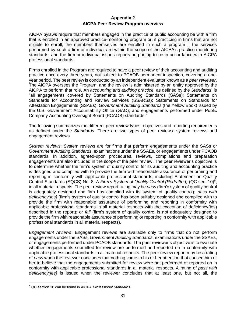# **Appendix 2 AICPA Peer Review Program overview**

<span id="page-34-0"></span>AICPA bylaws require that members engaged in the practice of public accounting be with a firm that is enrolled in an approved practice-monitoring program or, if practicing in firms that are not eligible to enroll, the members themselves are enrolled in such a program if the services performed by such a firm or individual are within the scope of the AICPA's practice monitoring standards, and the firm or individual issues reports purporting to be in accordance with AICPA professional standards.

Firms enrolled in the Program are required to have a peer review of their accounting and auditing practice once every three years, not subject to PCAOB permanent inspection, covering a oneyear period. The peer review is conducted by an independent evaluator known as a *peer reviewer*. The AICPA oversees the Program, and the review is administered by an entity approved by the AICPA to perform that role. An *accounting and auditing practice*, as defined by the *Standards*, is "all engagements covered by Statements on Auditing Standards (SASs); Statements on Standards for Accounting and Review Services (SSARSs); Statements on Standards for Attestation Engagements (SSAEs); *Government Auditing Standards* (the Yellow Book) issued by the U.S. Government Accountability Office (GAO); and engagements performed under Public Company Accounting Oversight Board (PCAOB) standards."

The following summarizes the different peer review types, objectives and reporting requirements as defined under the *Standards*. There are two types of peer reviews: system reviews and engagement reviews.

*System reviews*: System reviews are for firms that perform engagements under the SASs or *Government Auditing Standards*, examinations under the SSAEs, or engagements under PCAOB standards. In addition, agreed-upon procedures, reviews, compilations and preparation engagements are also included in the scope of the peer review. The peer reviewer's objective is to determine whether the firm's system of quality control for its auditing and accounting practice is designed and complied with to provide the firm with reasonable assurance of performing and reporting in conformity with applicable professional standards, including Statement on Quality Control Standards (SQCS) No. 8, *A Firm's System of Quality Control (Redrafted)* (QC sec. 10) 5 , in all material respects. The peer review report rating may be *pass* (firm's system of quality control is adequately designed and firm has complied with its system of quality control); *pass with deficiency(ies)* (firm's system of quality control has been suitably designed and complied with to provide the firm with reasonable assurance of performing and reporting in conformity with applicable professional standards in all material respects with the exception of deficiency(ies) described in the report); or *fail* (firm's system of quality control is not adequately designed to provide the firm with reasonable assurance of performing or reporting in conformity with applicable professional standards in all material respects).

*Engagement reviews*: Engagement reviews are available only to firms that do not perform engagements under the SASs, *Government Auditing Standards*, examinations under the SSAEs, or engagements performed under PCAOB standards. The peer reviewer's objective is to evaluate whether engagements submitted for review are performed and reported on in conformity with applicable professional standards in all material respects. The peer review report may be a rating of *pass* when the reviewer concludes that nothing came to his or her attention that caused him or her to believe that the engagements submitted for review were not performed or reported on in conformity with applicable professional standards in all material respects. A rating of *pass with deficiency(ies)* is issued when the reviewer concludes that at least one, but not all, the

<sup>5</sup> QC section 10 can be found in AICPA *Professional Standards*.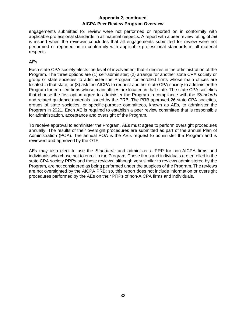# **Appendix 2, continued AICPA Peer Review Program Overview**

engagements submitted for review were not performed or reported on in conformity with applicable professional standards in all material respects. A report with a peer review rating of *fail* is issued when the reviewer concludes that all engagements submitted for review were not performed or reported on in conformity with applicable professional standards in all material respects.

# **AEs**

Each state CPA society elects the level of involvement that it desires in the administration of the Program. The three options are (1) self-administer; (2) arrange for another state CPA society or group of state societies to administer the Program for enrolled firms whose main offices are located in that state; or (3) ask the AICPA to request another state CPA society to administer the Program for enrolled firms whose main offices are located in that state. The state CPA societies that choose the first option agree to administer the Program in compliance with the *Standards* and related guidance materials issued by the PRB. The PRB approved 26 state CPA societies, groups of state societies, or specific-purpose committees, known as AEs, to administer the Program in 2021. Each AE is required to establish a peer review committee that is responsible for administration, acceptance and oversight of the Program.

To receive approval to administer the Program, AEs must agree to perform oversight procedures annually. The results of their oversight procedures are submitted as part of the annual Plan of Administration (POA). The annual POA is the AE's request to administer the Program and is reviewed and approved by the OTF.

AEs may also elect to use the *Standards* and administer a PRP for non-AICPA firms and individuals who chose not to enroll in the Program. These firms and individuals are enrolled in the state CPA society PRPs and these reviews, although very similar to reviews administered by the Program, are not considered as being performed under the auspices of the Program. The reviews are not oversighted by the AICPA PRB; so, this report does not include information or oversight procedures performed by the AEs on their PRPs of non-AICPA firms and individuals.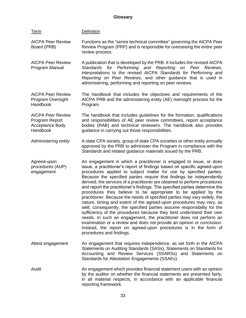#### <span id="page-36-0"></span>Term Definition AICPA Peer Review Board (PRB) Functions as the "senior technical committee" governing the AICPA Peer Review Program (PRP) and is responsible for overseeing the entire peer review process. AICPA Peer Review Program Manual A publication that is developed by the PRB. It includes the revised AICPA *Standards for Performing and Reporting on Peer Reviews*, interpretations to the revised AICPA *Standards for Performing and Reporting on Peer Reviews*, and other guidance that is used in administering, performing and reporting on peer reviews. AICPA Peer Review Program Oversight Handbook The handbook that includes the objectives and requirements of the AICPA PRB and the administering entity (AE) oversight process for the Program. AICPA Peer Review Program Report Acceptance Body Handbook The handbook that includes guidelines for the formation, qualifications and responsibilities of AE peer review committees, report acceptance bodies (RAB) and technical reviewers. The handbook also provides guidance in carrying out those responsibilities. Administering entity A state CPA society, group of state CPA societies or other entity annually approved by the PRB to administer the Program in compliance with the *Standards* and related guidance materials issued by the PRB. Agreed-upon procedures (AUP) engagement An engagement in which a practitioner is engaged to issue, or does issue, a practitioner's report of findings based on specific agreed-upon procedures applied to subject matter for use by specified parties. Because the specified parties require that findings be independently derived, the services of a practitioner are obtained to perform procedures and report the practitioner's findings. The specified parties determine the procedures they believe to be appropriate to be applied by the practitioner. Because the needs of specified parties may vary widely, the nature, timing and extent of the agreed-upon procedures may vary, as well; consequently, the specified parties assume responsibility for the sufficiency of the procedures because they best understand their own needs. In such an engagement, the practitioner does not perform an examination or a review and does not provide an opinion or conclusion. Instead, the report on agreed-upon procedures is in the form of procedures and findings. Attest engagement An engagement that requires independence, as set forth in the AICPA Statements on Auditing Standards (SASs), Statements on Standards for Accounting and Review Services (SSARSs) and Statements on Standards for Attestation Engagements (SSAEs). Audit An engagement which provides financial statement users with an opinion by the auditor on whether the financial statements are presented fairly, in all material respects, in accordance with an applicable financial reporting framework.

**Glossary**

33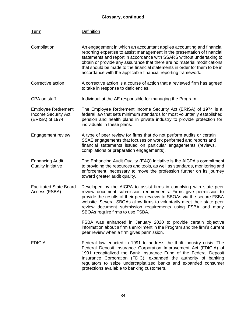# **Glossary, continued**

| <b>Term</b>                                                                 | <b>Definition</b>                                                                                                                                                                                                                                                                                                                                                                                                                                      |
|-----------------------------------------------------------------------------|--------------------------------------------------------------------------------------------------------------------------------------------------------------------------------------------------------------------------------------------------------------------------------------------------------------------------------------------------------------------------------------------------------------------------------------------------------|
| Compilation                                                                 | An engagement in which an accountant applies accounting and financial<br>reporting expertise to assist management in the presentation of financial<br>statements and report in accordance with SSARS without undertaking to<br>obtain or provide any assurance that there are no material modifications<br>that should be made to the financial statements in order for them to be in<br>accordance with the applicable financial reporting framework. |
| Corrective action                                                           | A corrective action is a course of action that a reviewed firm has agreed<br>to take in response to deficiencies.                                                                                                                                                                                                                                                                                                                                      |
| CPA on staff                                                                | Individual at the AE responsible for managing the Program.                                                                                                                                                                                                                                                                                                                                                                                             |
| <b>Employee Retirement</b><br><b>Income Security Act</b><br>(ERISA) of 1974 | The Employee Retirement Income Security Act (ERISA) of 1974 is a<br>federal law that sets minimum standards for most voluntarily established<br>pension and health plans in private industry to provide protection for<br>individuals in these plans.                                                                                                                                                                                                  |
| Engagement review                                                           | A type of peer review for firms that do not perform audits or certain<br>SSAE engagements that focuses on work performed and reports and<br>financial statements issued on particular engagements (reviews,<br>compilations or preparation engagements).                                                                                                                                                                                               |
| <b>Enhancing Audit</b><br><b>Quality initiative</b>                         | The Enhancing Audit Quality (EAQ) initiative is the AICPA's commitment<br>to providing the resources and tools, as well as standards, monitoring and<br>enforcement, necessary to move the profession further on its journey<br>toward greater audit quality.                                                                                                                                                                                          |
| <b>Facilitated State Board</b><br>Access (FSBA)                             | Developed by the AICPA to assist firms in complying with state peer<br>review document submission requirements. Firms give permission to<br>provide the results of their peer reviews to SBOAs via the secure FSBA<br>website. Several SBOAs allow firms to voluntarily meet their state peer<br>review document submission requirements using FSBA and many<br>SBOAs require firms to use FSBA.                                                       |
|                                                                             | FSBA was enhanced in January 2020 to provide certain objective<br>information about a firm's enrollment in the Program and the firm's current<br>peer review when a firm gives permission.                                                                                                                                                                                                                                                             |
| <b>FDICIA</b>                                                               | Federal law enacted in 1991 to address the thrift industry crisis. The<br>Federal Deposit Insurance Corporation Improvement Act (FDICIA) of<br>1991 recapitalized the Bank Insurance Fund of the Federal Deposit<br>Insurance Corporation (FDIC), expanded the authority of banking<br>regulators to seize undercapitalized banks and expanded consumer<br>protections available to banking customers.                                                 |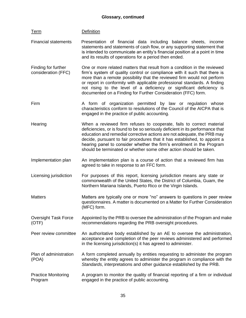Financial statements Presentation of financial data including balance sheets, income

Term Definition

|                                            | statements and statements of cash flow, or any supporting statement that<br>is intended to communicate an entity's financial position at a point in time<br>and its results of operations for a period then ended.                                                                                                                                                                                                                                             |
|--------------------------------------------|----------------------------------------------------------------------------------------------------------------------------------------------------------------------------------------------------------------------------------------------------------------------------------------------------------------------------------------------------------------------------------------------------------------------------------------------------------------|
| Finding for further<br>consideration (FFC) | One or more related matters that result from a condition in the reviewed<br>firm's system of quality control or compliance with it such that there is<br>more than a remote possibility that the reviewed firm would not perform<br>or report in conformity with applicable professional standards. A finding<br>not rising to the level of a deficiency or significant deficiency is<br>documented on a Finding for Further Consideration (FFC) form.         |
| Firm                                       | A form of organization permitted by law or regulation whose<br>characteristics conform to resolutions of the Council of the AICPA that is<br>engaged in the practice of public accounting.                                                                                                                                                                                                                                                                     |
| Hearing                                    | When a reviewed firm refuses to cooperate, fails to correct material<br>deficiencies, or is found to be so seriously deficient in its performance that<br>education and remedial corrective actions are not adequate, the PRB may<br>decide, pursuant to fair procedures that it has established, to appoint a<br>hearing panel to consider whether the firm's enrollment in the Program<br>should be terminated or whether some other action should be taken. |
| Implementation plan                        | An implementation plan is a course of action that a reviewed firm has<br>agreed to take in response to an FFC form.                                                                                                                                                                                                                                                                                                                                            |
| Licensing jurisdiction                     | For purposes of this report, licensing jurisdiction means any state or<br>commonwealth of the United States, the District of Columbia, Guam, the<br>Northern Mariana Islands, Puerto Rico or the Virgin Islands.                                                                                                                                                                                                                                               |
| <b>Matters</b>                             | Matters are typically one or more "no" answers to questions in peer review<br>questionnaires. A matter is documented on a Matter for Further Consideration<br>(MFC) form.                                                                                                                                                                                                                                                                                      |
| <b>Oversight Task Force</b><br>(OTF)       | Appointed by the PRB to oversee the administration of the Program and make<br>recommendations regarding the PRB oversight procedures.                                                                                                                                                                                                                                                                                                                          |
| Peer review committee                      | An authoritative body established by an AE to oversee the administration,<br>acceptance and completion of the peer reviews administered and performed<br>in the licensing jurisdiction(s) it has agreed to administer.                                                                                                                                                                                                                                         |
| Plan of administration<br>(POA)            | A form completed annually by entities requesting to administer the program<br>whereby the entity agrees to administer the program in compliance with the<br>Standards, interpretations and other guidance established by the PRB.                                                                                                                                                                                                                              |
| <b>Practice Monitoring</b><br>Program      | A program to monitor the quality of financial reporting of a firm or individual<br>engaged in the practice of public accounting.                                                                                                                                                                                                                                                                                                                               |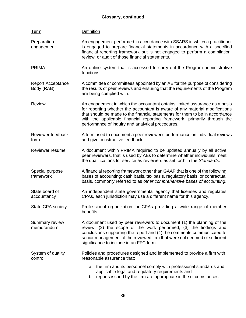# **Glossary, continued**

| <b>Term</b>                            | <b>Definition</b>                                                                                                                                                                                                                                                                                                                                                          |
|----------------------------------------|----------------------------------------------------------------------------------------------------------------------------------------------------------------------------------------------------------------------------------------------------------------------------------------------------------------------------------------------------------------------------|
| Preparation<br>engagement              | An engagement performed in accordance with SSARS in which a practitioner<br>is engaged to prepare financial statements in accordance with a specified<br>financial reporting framework but is not engaged to perform a compilation,<br>review, or audit of those financial statements.                                                                                     |
| <b>PRIMA</b>                           | An online system that is accessed to carry out the Program administrative<br>functions.                                                                                                                                                                                                                                                                                    |
| <b>Report Acceptance</b><br>Body (RAB) | A committee or committees appointed by an AE for the purpose of considering<br>the results of peer reviews and ensuring that the requirements of the Program<br>are being complied with.                                                                                                                                                                                   |
| <b>Review</b>                          | An engagement in which the accountant obtains limited assurance as a basis<br>for reporting whether the accountant is aware of any material modifications<br>that should be made to the financial statements for them to be in accordance<br>with the applicable financial reporting framework, primarily through the<br>performance of inquiry and analytical procedures. |
| Reviewer feedback<br>form              | A form used to document a peer reviewer's performance on individual reviews<br>and give constructive feedback.                                                                                                                                                                                                                                                             |
| Reviewer resume                        | A document within PRIMA required to be updated annually by all active<br>peer reviewers, that is used by AEs to determine whether individuals meet<br>the qualifications for service as reviewers as set forth in the Standards.                                                                                                                                           |
| Special purpose<br>framework           | A financial reporting framework other than GAAP that is one of the following<br>bases of accounting; cash basis, tax basis, regulatory basis, or contractual<br>basis, commonly referred to as other comprehensive bases of accounting.                                                                                                                                    |
| State board of<br>accountancy          | An independent state governmental agency that licenses and regulates<br>CPAs, each jurisdiction may use a different name for this agency.                                                                                                                                                                                                                                  |
| State CPA society                      | Professional organization for CPAs providing a wide range of member<br>benefits.                                                                                                                                                                                                                                                                                           |
| Summary review<br>memorandum           | A document used by peer reviewers to document (1) the planning of the<br>review, (2) the scope of the work performed, (3) the findings and<br>conclusions supporting the report and (4) the comments communicated to<br>senior management of the reviewed firm that were not deemed of sufficient<br>significance to include in an FFC form.                               |
| System of quality<br>control           | Policies and procedures designed and implemented to provide a firm with<br>reasonable assurance that:                                                                                                                                                                                                                                                                      |
|                                        | a. the firm and its personnel comply with professional standards and<br>applicable legal and regulatory requirements and<br>b. reports issued by the firm are appropriate in the circumstances.                                                                                                                                                                            |